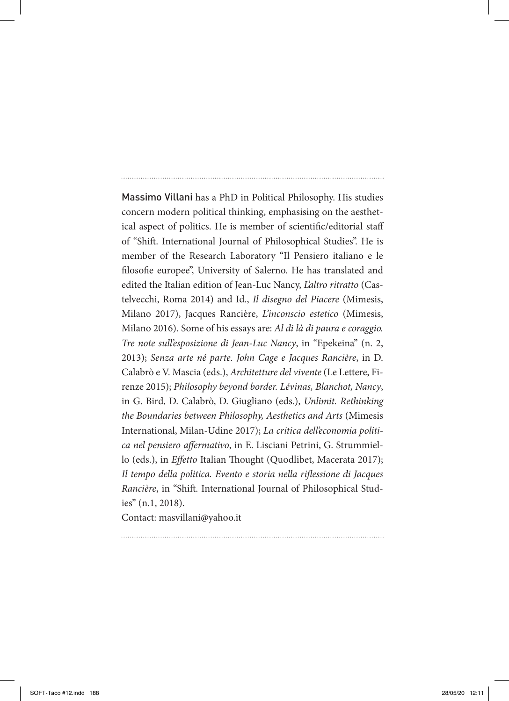# Massimo Villani has a PhD in Political Philosophy. His studies concern modern political thinking, emphasising on the aesthetical aspect of politics. He is member of scientific/editorial staff of "Shift. International Journal of Philosophical Studies". He is member of the Research Laboratory "Il Pensiero italiano e le filosofie europee", University of Salerno. He has translated and edited the Italian edition of Jean-Luc Nancy, *L'altro ritratto* (Castelvecchi, Roma 2014) and Id., *Il disegno del Piacere* (Mimesis, Milano 2017), Jacques Rancière, *L'inconscio estetico* (Mimesis, Milano 2016). Some of his essays are: *Al di là di paura e coraggio. Tre note sull'esposizione di Jean-Luc Nancy*, in "Epekeina" (n. 2, 2013); *Senza arte né parte. John Cage e Jacques Rancière*, in D. Calabrò e V. Mascia (eds.), *Architetture del vivente* (Le Lettere, Firenze 2015); *Philosophy beyond border. Lévinas, Blanchot, Nancy*, in G. Bird, D. Calabrò, D. Giugliano (eds.), *Unlimit. Rethinking the Boundaries between Philosophy, Aesthetics and Arts* (Mimesis International, Milan-Udine 2017); *La critica dell'economia politica nel pensiero affermativo*, in E. Lisciani Petrini, G. Strummiello (eds.), in *Effetto* Italian Thought (Quodlibet, Macerata 2017); *Il tempo della politica. Evento e storia nella riflessione di Jacques Rancière*, in "Shift. International Journal of Philosophical Studies" (n.1, 2018).

Contact: masvillani@yahoo.it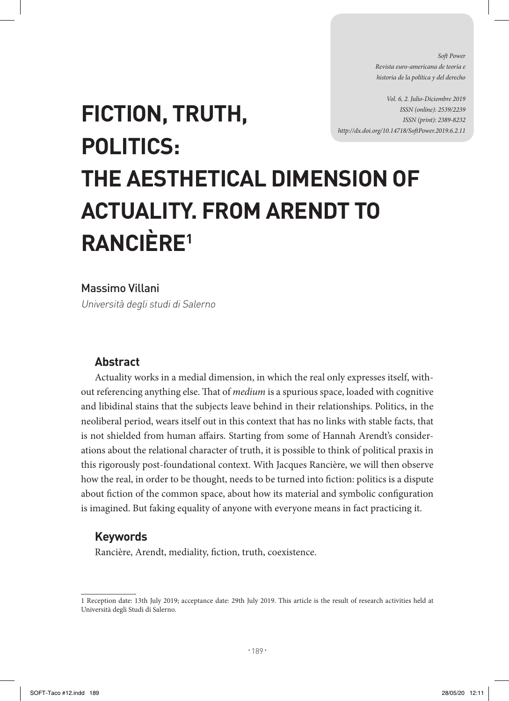*Soft Power Revista euro-americana de teoría e historia de la política y del derecho* 

*Vol. 6, 2. Julio-Diciembre 2019 ISSN (online): 2539/2239 ISSN (print): 2389-8232 http://dx.doi.org/10.14718/SoftPower.2019.6.2.11*

# **FICTION, TRUTH, POLITICS: THE AESTHETICAL DIMENSION OF ACTUALITY. FROM ARENDT TO RANCIÈRE1**

Massimo Villani

Università degli studi di Salerno

# **Abstract**

Actuality works in a medial dimension, in which the real only expresses itself, without referencing anything else. That of *medium* is a spurious space, loaded with cognitive and libidinal stains that the subjects leave behind in their relationships. Politics, in the neoliberal period, wears itself out in this context that has no links with stable facts, that is not shielded from human affairs. Starting from some of Hannah Arendt's considerations about the relational character of truth, it is possible to think of political praxis in this rigorously post-foundational context. With Jacques Rancière, we will then observe how the real, in order to be thought, needs to be turned into fiction: politics is a dispute about fiction of the common space, about how its material and symbolic configuration is imagined. But faking equality of anyone with everyone means in fact practicing it.

# **Keywords**

Rancière, Arendt, mediality, fiction, truth, coexistence.

<sup>1</sup> Reception date: 13th July 2019; acceptance date: 29th July 2019. This article is the result of research activities held at Università degli Studi di Salerno.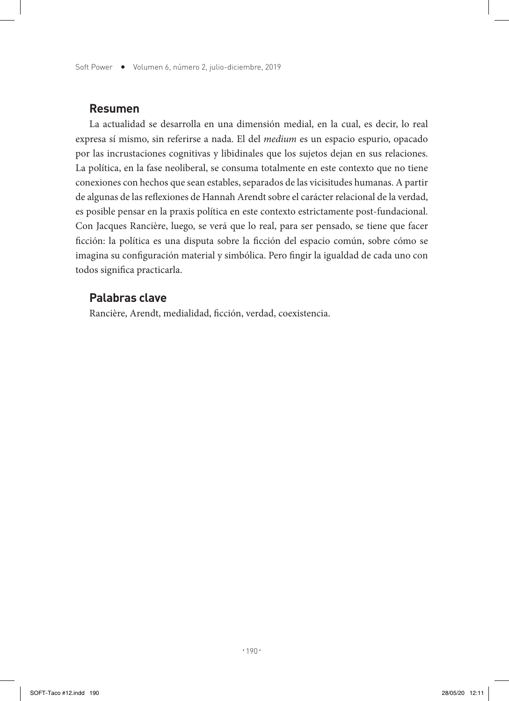Soft Power • Volumen 6, número 2, julio-diciembre, 2019

#### **Resumen**

La actualidad se desarrolla en una dimensión medial, en la cual, es decir, lo real expresa sí mismo, sin referirse a nada. El del *medium* es un espacio espurio, opacado por las incrustaciones cognitivas y libidinales que los sujetos dejan en sus relaciones. La política, en la fase neoliberal, se consuma totalmente en este contexto que no tiene conexiones con hechos que sean estables, separados de las vicisitudes humanas. A partir de algunas de las reflexiones de Hannah Arendt sobre el carácter relacional de la verdad, es posible pensar en la praxis política en este contexto estrictamente post-fundacional. Con Jacques Rancière, luego, se verá que lo real, para ser pensado, se tiene que facer ficción: la política es una disputa sobre la ficción del espacio común, sobre cómo se imagina su configuración material y simbólica. Pero fingir la igualdad de cada uno con todos significa practicarla.

#### **Palabras clave**

Rancière, Arendt, medialidad, ficción, verdad, coexistencia.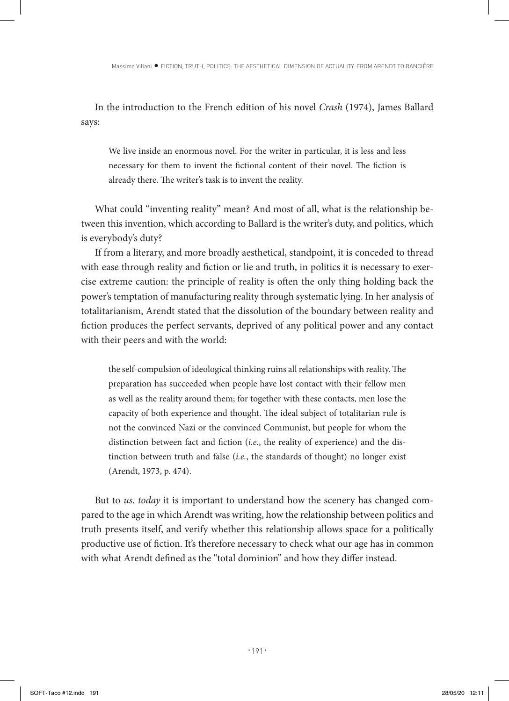In the introduction to the French edition of his novel *Crash* (1974), James Ballard says:

We live inside an enormous novel. For the writer in particular, it is less and less necessary for them to invent the fictional content of their novel. The fiction is already there. The writer's task is to invent the reality.

What could "inventing reality" mean? And most of all, what is the relationship between this invention, which according to Ballard is the writer's duty, and politics, which is everybody's duty?

If from a literary, and more broadly aesthetical, standpoint, it is conceded to thread with ease through reality and fiction or lie and truth, in politics it is necessary to exercise extreme caution: the principle of reality is often the only thing holding back the power's temptation of manufacturing reality through systematic lying. In her analysis of totalitarianism, Arendt stated that the dissolution of the boundary between reality and fiction produces the perfect servants, deprived of any political power and any contact with their peers and with the world:

the self-compulsion of ideological thinking ruins all relationships with reality. The preparation has succeeded when people have lost contact with their fellow men as well as the reality around them; for together with these contacts, men lose the capacity of both experience and thought. The ideal subject of totalitarian rule is not the convinced Nazi or the convinced Communist, but people for whom the distinction between fact and fiction (*i.e.*, the reality of experience) and the distinction between truth and false (*i.e.*, the standards of thought) no longer exist (Arendt, 1973, p. 474).

But to *us*, *today* it is important to understand how the scenery has changed compared to the age in which Arendt was writing, how the relationship between politics and truth presents itself, and verify whether this relationship allows space for a politically productive use of fiction. It's therefore necessary to check what our age has in common with what Arendt defined as the "total dominion" and how they differ instead.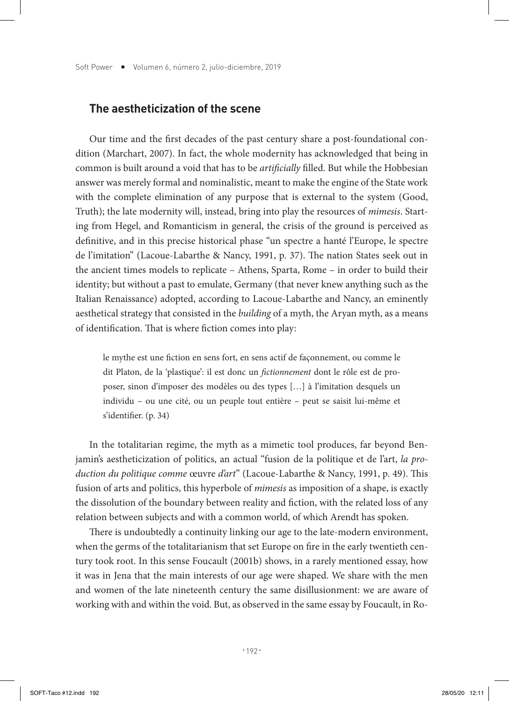# **The aestheticization of the scene**

Our time and the first decades of the past century share a post-foundational condition (Marchart, 2007). In fact, the whole modernity has acknowledged that being in common is built around a void that has to be *artificially* filled. But while the Hobbesian answer was merely formal and nominalistic, meant to make the engine of the State work with the complete elimination of any purpose that is external to the system (Good, Truth); the late modernity will, instead, bring into play the resources of *mimesis*. Starting from Hegel, and Romanticism in general, the crisis of the ground is perceived as definitive, and in this precise historical phase "un spectre a hanté l'Europe, le spectre de l'imitation" (Lacoue-Labarthe & Nancy, 1991, p. 37). The nation States seek out in the ancient times models to replicate – Athens, Sparta, Rome – in order to build their identity; but without a past to emulate, Germany (that never knew anything such as the Italian Renaissance) adopted, according to Lacoue-Labarthe and Nancy, an eminently aesthetical strategy that consisted in the *building* of a myth, the Aryan myth, as a means of identification. That is where fiction comes into play:

le mythe est une fiction en sens fort, en sens actif de façonnement, ou comme le dit Platon, de la 'plastique': il est donc un *fictionnement* dont le rôle est de proposer, sinon d'imposer des modèles ou des types […] à l'imitation desquels un individu – ou une cité, ou un peuple tout entière – peut se saisit lui-même et s'identifier. (p. 34)

In the totalitarian regime, the myth as a mimetic tool produces, far beyond Benjamin's aestheticization of politics, an actual "fusion de la politique et de l'art, *la production du politique comme* œuvre *d'art*" (Lacoue-Labarthe & Nancy, 1991, p. 49). This fusion of arts and politics, this hyperbole of *mimesis* as imposition of a shape, is exactly the dissolution of the boundary between reality and fiction, with the related loss of any relation between subjects and with a common world, of which Arendt has spoken.

There is undoubtedly a continuity linking our age to the late-modern environment, when the germs of the totalitarianism that set Europe on fire in the early twentieth century took root. In this sense Foucault (2001b) shows, in a rarely mentioned essay, how it was in Jena that the main interests of our age were shaped. We share with the men and women of the late nineteenth century the same disillusionment: we are aware of working with and within the void. But, as observed in the same essay by Foucault, in Ro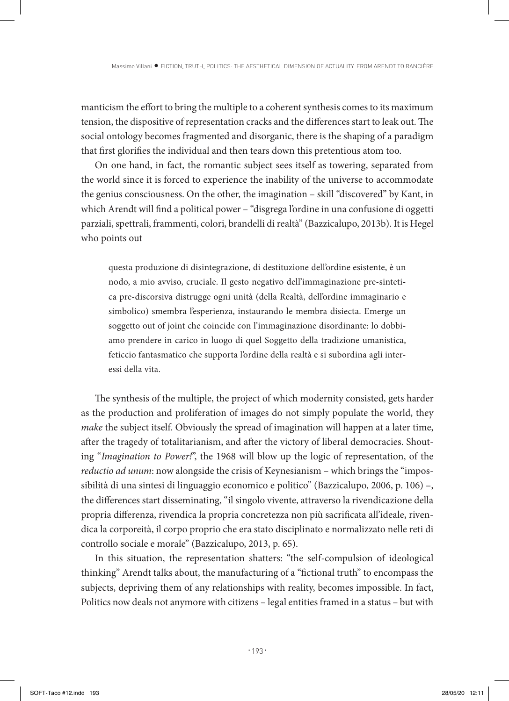manticism the effort to bring the multiple to a coherent synthesis comes to its maximum tension, the dispositive of representation cracks and the differences start to leak out. The social ontology becomes fragmented and disorganic, there is the shaping of a paradigm that first glorifies the individual and then tears down this pretentious atom too.

On one hand, in fact, the romantic subject sees itself as towering, separated from the world since it is forced to experience the inability of the universe to accommodate the genius consciousness. On the other, the imagination – skill "discovered" by Kant, in which Arendt will find a political power – "disgrega l'ordine in una confusione di oggetti parziali, spettrali, frammenti, colori, brandelli di realtà" (Bazzicalupo, 2013b). It is Hegel who points out

questa produzione di disintegrazione, di destituzione dell'ordine esistente, è un nodo, a mio avviso, cruciale. Il gesto negativo dell'immaginazione pre-sintetica pre-discorsiva distrugge ogni unità (della Realtà, dell'ordine immaginario e simbolico) smembra l'esperienza, instaurando le membra disiecta. Emerge un soggetto out of joint che coincide con l'immaginazione disordinante: lo dobbiamo prendere in carico in luogo di quel Soggetto della tradizione umanistica, feticcio fantasmatico che supporta l'ordine della realtà e si subordina agli interessi della vita.

The synthesis of the multiple, the project of which modernity consisted, gets harder as the production and proliferation of images do not simply populate the world, they *make* the subject itself. Obviously the spread of imagination will happen at a later time, after the tragedy of totalitarianism, and after the victory of liberal democracies. Shouting "*Imagination to Power!*", the 1968 will blow up the logic of representation, of the *reductio ad unum*: now alongside the crisis of Keynesianism – which brings the "impossibilità di una sintesi di linguaggio economico e politico" (Bazzicalupo, 2006, p. 106) –, the differences start disseminating, "il singolo vivente, attraverso la rivendicazione della propria differenza, rivendica la propria concretezza non più sacrificata all'ideale, rivendica la corporeità, il corpo proprio che era stato disciplinato e normalizzato nelle reti di controllo sociale e morale" (Bazzicalupo, 2013, p. 65).

In this situation, the representation shatters: "the self-compulsion of ideological thinking" Arendt talks about, the manufacturing of a "fictional truth" to encompass the subjects, depriving them of any relationships with reality, becomes impossible. In fact, Politics now deals not anymore with citizens – legal entities framed in a status – but with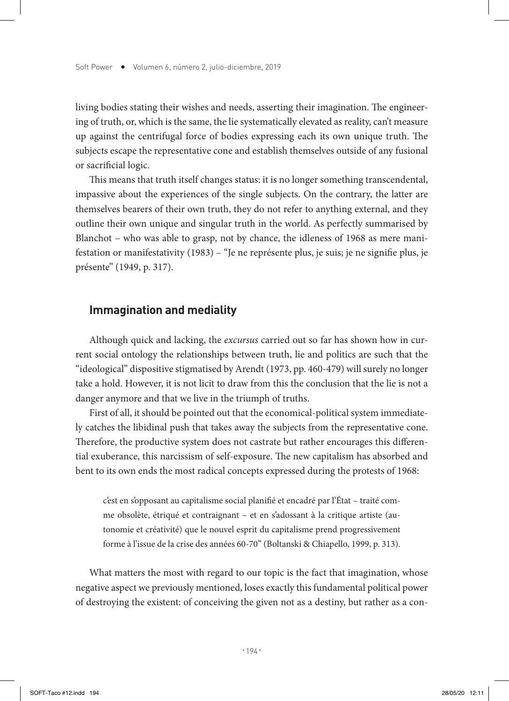living bodies stating their wishes and needs, asserting their imagination. The engineering of truth, or, which is the same, the lie systematically elevated as reality, can't measure up against the centrifugal force of bodies expressing each its own unique truth. The subjects escape the representative cone and establish themselves outside of any fusional or sacrificial logic.

This means that truth itself changes status: it is no longer something transcendental, impassive about the experiences of the single subjects. On the contrary, the latter are themselves bearers of their own truth, they do not refer to anything external, and they outline their own unique and singular truth in the world. As perfectly summarised by Blanchot – who was able to grasp, not by chance, the idleness of 1968 as mere manifestation or manifestativity (1983) – "Je ne représente plus, je suis; je ne signifie plus, je présente" (1949, p. 317).

#### **Immagination and mediality**

Although quick and lacking, the *excursus* carried out so far has shown how in current social ontology the relationships between truth, lie and politics are such that the "ideological" dispositive stigmatised by Arendt (1973, pp. 460-479) will surely no longer take a hold. However, it is not licit to draw from this the conclusion that the lie is not a danger anymore and that we live in the triumph of truths.

First of all, it should be pointed out that the economical-political system immediately catches the libidinal push that takes away the subjects from the representative cone. Therefore, the productive system does not castrate but rather encourages this differential exuberance, this narcissism of self-exposure. The new capitalism has absorbed and bent to its own ends the most radical concepts expressed during the protests of 1968:

c'est en s'opposant au capitalisme social planifié et encadré par l'État – traité comme obsolète, étriqué et contraignant – et en s'adossant à la critique artiste (autonomie et créativité) que le nouvel esprit du capitalisme prend progressivement forme à l'issue de la crise des années 60-70" (Boltanski & Chiapello, 1999, p. 313).

What matters the most with regard to our topic is the fact that imagination, whose negative aspect we previously mentioned, loses exactly this fundamental political power of destroying the existent: of conceiving the given not as a destiny, but rather as a con-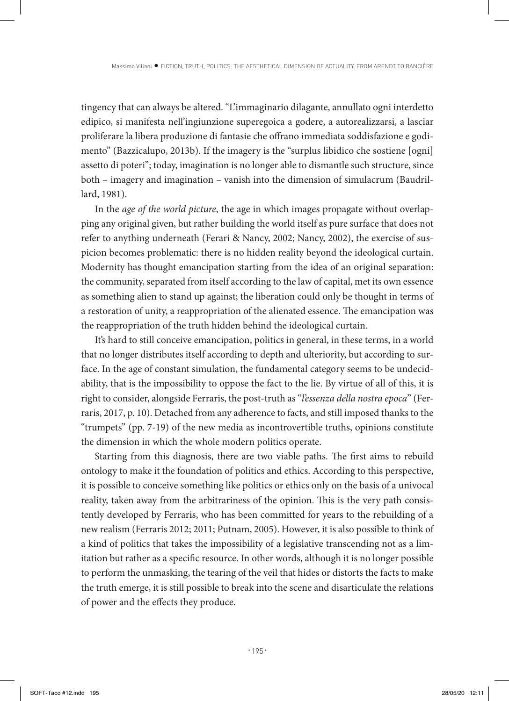tingency that can always be altered. "L'immaginario dilagante, annullato ogni interdetto edipico, si manifesta nell'ingiunzione superegoica a godere, a autorealizzarsi, a lasciar proliferare la libera produzione di fantasie che offrano immediata soddisfazione e godimento" (Bazzicalupo, 2013b). If the imagery is the "surplus libidico che sostiene [ogni] assetto di poteri"; today, imagination is no longer able to dismantle such structure, since both – imagery and imagination – vanish into the dimension of simulacrum (Baudrillard, 1981).

In the *age of the world picture*, the age in which images propagate without overlapping any original given, but rather building the world itself as pure surface that does not refer to anything underneath (Ferari & Nancy, 2002; Nancy, 2002), the exercise of suspicion becomes problematic: there is no hidden reality beyond the ideological curtain. Modernity has thought emancipation starting from the idea of an original separation: the community, separated from itself according to the law of capital, met its own essence as something alien to stand up against; the liberation could only be thought in terms of a restoration of unity, a reappropriation of the alienated essence. The emancipation was the reappropriation of the truth hidden behind the ideological curtain.

It's hard to still conceive emancipation, politics in general, in these terms, in a world that no longer distributes itself according to depth and ulteriority, but according to surface. In the age of constant simulation, the fundamental category seems to be undecidability, that is the impossibility to oppose the fact to the lie. By virtue of all of this, it is right to consider, alongside Ferraris, the post-truth as "*l'essenza della nostra epoca*" (Ferraris, 2017, p. 10). Detached from any adherence to facts, and still imposed thanks to the "trumpets" (pp. 7-19) of the new media as incontrovertible truths, opinions constitute the dimension in which the whole modern politics operate.

Starting from this diagnosis, there are two viable paths. The first aims to rebuild ontology to make it the foundation of politics and ethics. According to this perspective, it is possible to conceive something like politics or ethics only on the basis of a univocal reality, taken away from the arbitrariness of the opinion. This is the very path consistently developed by Ferraris, who has been committed for years to the rebuilding of a new realism (Ferraris 2012; 2011; Putnam, 2005). However, it is also possible to think of a kind of politics that takes the impossibility of a legislative transcending not as a limitation but rather as a specific resource. In other words, although it is no longer possible to perform the unmasking, the tearing of the veil that hides or distorts the facts to make the truth emerge, it is still possible to break into the scene and disarticulate the relations of power and the effects they produce.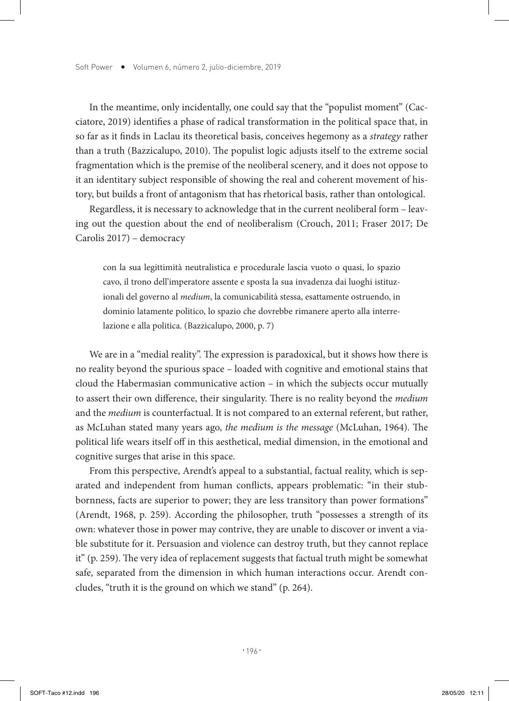In the meantime, only incidentally, one could say that the "populist moment" (Cacciatore, 2019) identifies a phase of radical transformation in the political space that, in so far as it finds in Laclau its theoretical basis, conceives hegemony as a *strategy* rather than a truth (Bazzicalupo, 2010). The populist logic adjusts itself to the extreme social fragmentation which is the premise of the neoliberal scenery, and it does not oppose to it an identitary subject responsible of showing the real and coherent movement of history, but builds a front of antagonism that has rhetorical basis, rather than ontological.

Regardless, it is necessary to acknowledge that in the current neoliberal form – leaving out the question about the end of neoliberalism (Crouch, 2011; Fraser 2017; De Carolis 2017) – democracy

con la sua legittimità neutralistica e procedurale lascia vuoto o quasi, lo spazio cavo, il trono dell'imperatore assente e sposta la sua invadenza dai luoghi istituzionali del governo al *medium*, la comunicabilità stessa, esattamente ostruendo, in dominio latamente politico, lo spazio che dovrebbe rimanere aperto alla interrelazione e alla politica. (Bazzicalupo, 2000, p. 7)

We are in a "medial reality". The expression is paradoxical, but it shows how there is no reality beyond the spurious space – loaded with cognitive and emotional stains that cloud the Habermasian communicative action – in which the subjects occur mutually to assert their own difference, their singularity. There is no reality beyond the *medium* and the *medium* is counterfactual. It is not compared to an external referent, but rather, as McLuhan stated many years ago, *the medium is the message* (McLuhan, 1964). The political life wears itself off in this aesthetical, medial dimension, in the emotional and cognitive surges that arise in this space.

From this perspective, Arendt's appeal to a substantial, factual reality, which is separated and independent from human conflicts, appears problematic: "in their stubbornness, facts are superior to power; they are less transitory than power formations" (Arendt, 1968, p. 259). According the philosopher, truth "possesses a strength of its own: whatever those in power may contrive, they are unable to discover or invent a viable substitute for it. Persuasion and violence can destroy truth, but they cannot replace it" (p. 259). The very idea of replacement suggests that factual truth might be somewhat safe, separated from the dimension in which human interactions occur. Arendt concludes, "truth it is the ground on which we stand" (p. 264).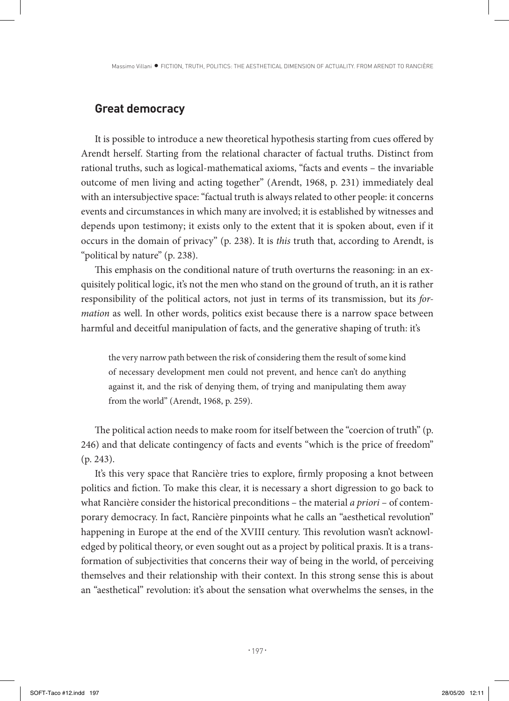#### **Great democracy**

It is possible to introduce a new theoretical hypothesis starting from cues offered by Arendt herself. Starting from the relational character of factual truths. Distinct from rational truths, such as logical-mathematical axioms, "facts and events – the invariable outcome of men living and acting together" (Arendt, 1968, p. 231) immediately deal with an intersubjective space: "factual truth is always related to other people: it concerns events and circumstances in which many are involved; it is established by witnesses and depends upon testimony; it exists only to the extent that it is spoken about, even if it occurs in the domain of privacy" (p. 238). It is *this* truth that, according to Arendt, is "political by nature" (p. 238).

This emphasis on the conditional nature of truth overturns the reasoning: in an exquisitely political logic, it's not the men who stand on the ground of truth, an it is rather responsibility of the political actors, not just in terms of its transmission, but its *formation* as well. In other words, politics exist because there is a narrow space between harmful and deceitful manipulation of facts, and the generative shaping of truth: it's

the very narrow path between the risk of considering them the result of some kind of necessary development men could not prevent, and hence can't do anything against it, and the risk of denying them, of trying and manipulating them away from the world" (Arendt, 1968, p. 259).

The political action needs to make room for itself between the "coercion of truth" (p. 246) and that delicate contingency of facts and events "which is the price of freedom" (p. 243).

It's this very space that Rancière tries to explore, firmly proposing a knot between politics and fiction. To make this clear, it is necessary a short digression to go back to what Rancière consider the historical preconditions – the material *a priori* – of contemporary democracy. In fact, Rancière pinpoints what he calls an "aesthetical revolution" happening in Europe at the end of the XVIII century. This revolution wasn't acknowledged by political theory, or even sought out as a project by political praxis. It is a transformation of subjectivities that concerns their way of being in the world, of perceiving themselves and their relationship with their context. In this strong sense this is about an "aesthetical" revolution: it's about the sensation what overwhelms the senses, in the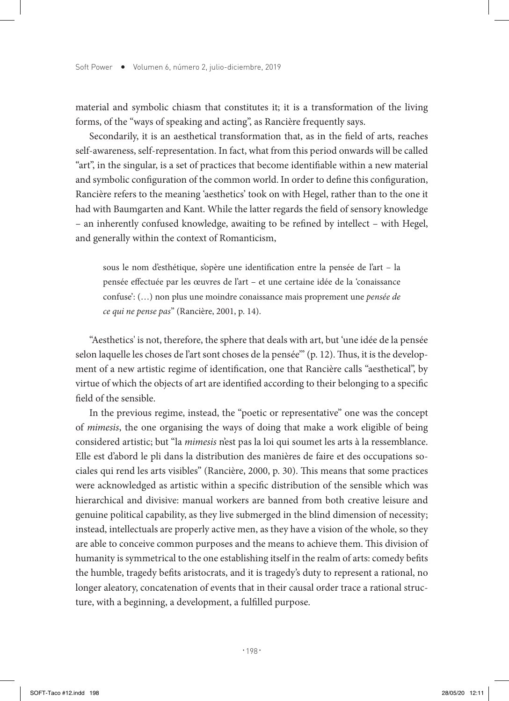material and symbolic chiasm that constitutes it; it is a transformation of the living forms, of the "ways of speaking and acting", as Rancière frequently says.

Secondarily, it is an aesthetical transformation that, as in the field of arts, reaches self-awareness, self-representation. In fact, what from this period onwards will be called "art", in the singular, is a set of practices that become identifiable within a new material and symbolic configuration of the common world. In order to define this configuration, Rancière refers to the meaning 'aesthetics' took on with Hegel, rather than to the one it had with Baumgarten and Kant. While the latter regards the field of sensory knowledge – an inherently confused knowledge, awaiting to be refined by intellect – with Hegel, and generally within the context of Romanticism,

sous le nom d'esthétique, s'opère une identification entre la pensée de l'art – la pensée effectuée par les œuvres de l'art – et une certaine idée de la 'conaissance confuse': (…) non plus une moindre conaissance mais proprement une *pensée de ce qui ne pense pas*" (Rancière, 2001, p. 14).

"Aesthetics' is not, therefore, the sphere that deals with art, but 'une idée de la pensée selon laquelle les choses de l'art sont choses de la pensée'" (p. 12). Thus, it is the development of a new artistic regime of identification, one that Rancière calls "aesthetical", by virtue of which the objects of art are identified according to their belonging to a specific field of the sensible.

In the previous regime, instead, the "poetic or representative" one was the concept of *mimesis*, the one organising the ways of doing that make a work eligible of being considered artistic; but "la *mimesis* n'est pas la loi qui soumet les arts à la ressemblance. Elle est d'abord le pli dans la distribution des manières de faire et des occupations sociales qui rend les arts visibles" (Rancière, 2000, p. 30). This means that some practices were acknowledged as artistic within a specific distribution of the sensible which was hierarchical and divisive: manual workers are banned from both creative leisure and genuine political capability, as they live submerged in the blind dimension of necessity; instead, intellectuals are properly active men, as they have a vision of the whole, so they are able to conceive common purposes and the means to achieve them. This division of humanity is symmetrical to the one establishing itself in the realm of arts: comedy befits the humble, tragedy befits aristocrats, and it is tragedy's duty to represent a rational, no longer aleatory, concatenation of events that in their causal order trace a rational structure, with a beginning, a development, a fulfilled purpose.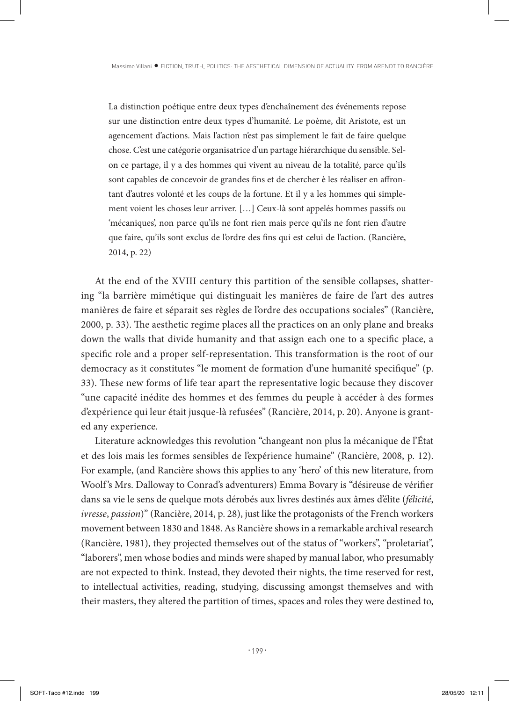La distinction poétique entre deux types d'enchaînement des événements repose sur une distinction entre deux types d'humanité. Le poème, dit Aristote, est un agencement d'actions. Mais l'action n'est pas simplement le fait de faire quelque chose. C'est une catégorie organisatrice d'un partage hiérarchique du sensible. Selon ce partage, il y a des hommes qui vivent au niveau de la totalité, parce qu'ils sont capables de concevoir de grandes fins et de chercher è les réaliser en affrontant d'autres volonté et les coups de la fortune. Et il y a les hommes qui simplement voient les choses leur arriver. […] Ceux-là sont appelés hommes passifs ou 'mécaniques', non parce qu'ils ne font rien mais perce qu'ils ne font rien d'autre que faire, qu'ils sont exclus de l'ordre des fins qui est celui de l'action. (Rancière, 2014, p. 22)

At the end of the XVIII century this partition of the sensible collapses, shattering "la barrière mimétique qui distinguait les manières de faire de l'art des autres manières de faire et séparait ses règles de l'ordre des occupations sociales" (Rancière, 2000, p. 33). The aesthetic regime places all the practices on an only plane and breaks down the walls that divide humanity and that assign each one to a specific place, a specific role and a proper self-representation. This transformation is the root of our democracy as it constitutes "le moment de formation d'une humanité specifique" (p. 33). These new forms of life tear apart the representative logic because they discover "une capacité inédite des hommes et des femmes du peuple à accéder à des formes d'expérience qui leur était jusque-là refusées" (Rancière, 2014, p. 20). Anyone is granted any experience.

Literature acknowledges this revolution "changeant non plus la mécanique de l'État et des lois mais les formes sensibles de l'expérience humaine" (Rancière, 2008, p. 12). For example, (and Rancière shows this applies to any 'hero' of this new literature, from Woolf 's Mrs. Dalloway to Conrad's adventurers) Emma Bovary is "désireuse de vérifier dans sa vie le sens de quelque mots dérobés aux livres destinés aux âmes d'élite (*félicité*, *ivresse*, *passion*)" (Rancière, 2014, p. 28), just like the protagonists of the French workers movement between 1830 and 1848. As Rancière shows in a remarkable archival research (Rancière, 1981), they projected themselves out of the status of "workers", "proletariat", "laborers", men whose bodies and minds were shaped by manual labor, who presumably are not expected to think. Instead, they devoted their nights, the time reserved for rest, to intellectual activities, reading, studying, discussing amongst themselves and with their masters, they altered the partition of times, spaces and roles they were destined to,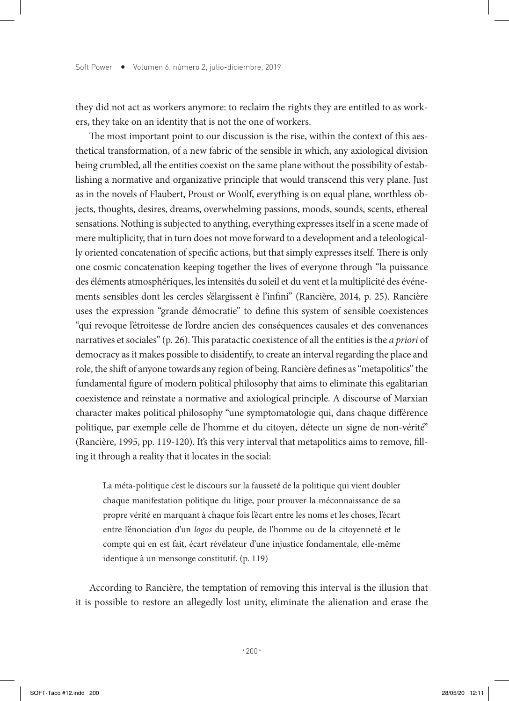they did not act as workers anymore: to reclaim the rights they are entitled to as workers, they take on an identity that is not the one of workers.

The most important point to our discussion is the rise, within the context of this aesthetical transformation, of a new fabric of the sensible in which, any axiological division being crumbled, all the entities coexist on the same plane without the possibility of establishing a normative and organizative principle that would transcend this very plane. Just as in the novels of Flaubert, Proust or Woolf, everything is on equal plane, worthless objects, thoughts, desires, dreams, overwhelming passions, moods, sounds, scents, ethereal sensations. Nothing is subjected to anything, everything expresses itself in a scene made of mere multiplicity, that in turn does not move forward to a development and a teleologically oriented concatenation of specific actions, but that simply expresses itself. There is only one cosmic concatenation keeping together the lives of everyone through "la puissance des éléments atmosphériques, les intensités du soleil et du vent et la multiplicité des événements sensibles dont les cercles s'élargissent è l'infini" (Rancière, 2014, p. 25). Rancière uses the expression "grande démocratie" to define this system of sensible coexistences "qui revoque l'étroitesse de l'ordre ancien des conséquences causales et des convenances narratives et sociales" (p. 26). This paratactic coexistence of all the entities is the *a priori* of democracy as it makes possible to disidentify, to create an interval regarding the place and role, the shift of anyone towards any region of being. Rancière defines as "metapolitics" the fundamental figure of modern political philosophy that aims to eliminate this egalitarian coexistence and reinstate a normative and axiological principle. A discourse of Marxian character makes political philosophy "une symptomatologie qui, dans chaque différence politique, par exemple celle de l'homme et du citoyen, détecte un signe de non-vérité" (Rancière, 1995, pp. 119-120). It's this very interval that metapolitics aims to remove, filling it through a reality that it locates in the social:

La méta-politique c'est le discours sur la fausseté de la politique qui vient doubler chaque manifestation politique du litige, pour prouver la méconnaissance de sa propre vérité en marquant à chaque fois l'écart entre les noms et les choses, l'écart entre l'énonciation d'un *logos* du peuple, de l'homme ou de la citoyenneté et le compte qui en est fait, écart révélateur d'une injustice fondamentale, elle-même identique à un mensonge constitutif. (p. 119)

According to Rancière, the temptation of removing this interval is the illusion that it is possible to restore an allegedly lost unity, eliminate the alienation and erase the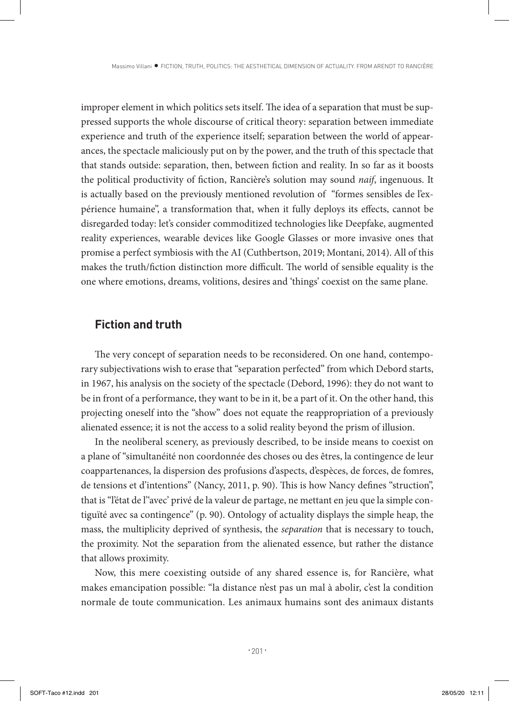improper element in which politics sets itself. The idea of a separation that must be suppressed supports the whole discourse of critical theory: separation between immediate experience and truth of the experience itself; separation between the world of appearances, the spectacle maliciously put on by the power, and the truth of this spectacle that that stands outside: separation, then, between fiction and reality. In so far as it boosts the political productivity of fiction, Rancière's solution may sound *naif*, ingenuous. It is actually based on the previously mentioned revolution of "formes sensibles de l'expérience humaine", a transformation that, when it fully deploys its effects, cannot be disregarded today: let's consider commoditized technologies like Deepfake, augmented reality experiences, wearable devices like Google Glasses or more invasive ones that promise a perfect symbiosis with the AI (Cuthbertson, 2019; Montani, 2014). All of this makes the truth/fiction distinction more difficult. The world of sensible equality is the one where emotions, dreams, volitions, desires and 'things' coexist on the same plane.

#### **Fiction and truth**

The very concept of separation needs to be reconsidered. On one hand, contemporary subjectivations wish to erase that "separation perfected" from which Debord starts, in 1967, his analysis on the society of the spectacle (Debord, 1996): they do not want to be in front of a performance, they want to be in it, be a part of it. On the other hand, this projecting oneself into the "show" does not equate the reappropriation of a previously alienated essence; it is not the access to a solid reality beyond the prism of illusion.

In the neoliberal scenery, as previously described, to be inside means to coexist on a plane of "simultanéité non coordonnée des choses ou des êtres, la contingence de leur coappartenances, la dispersion des profusions d'aspects, d'espèces, de forces, de fomres, de tensions et d'intentions" (Nancy, 2011, p. 90). This is how Nancy defines "struction", that is "l'état de l''avec' privé de la valeur de partage, ne mettant en jeu que la simple contiguïté avec sa contingence" (p. 90). Ontology of actuality displays the simple heap, the mass, the multiplicity deprived of synthesis, the *separation* that is necessary to touch, the proximity. Not the separation from the alienated essence, but rather the distance that allows proximity.

Now, this mere coexisting outside of any shared essence is, for Rancière, what makes emancipation possible: "la distance n'est pas un mal à abolir, c'est la condition normale de toute communication. Les animaux humains sont des animaux distants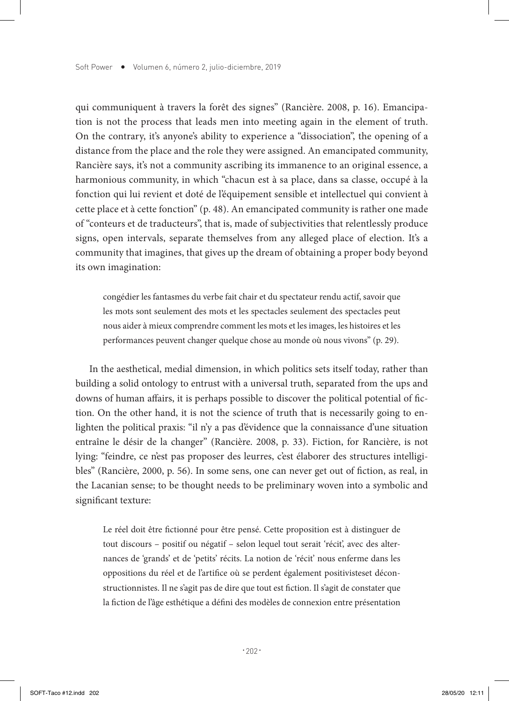qui communiquent à travers la forêt des signes" (Rancière. 2008, p. 16). Emancipation is not the process that leads men into meeting again in the element of truth. On the contrary, it's anyone's ability to experience a "dissociation", the opening of a distance from the place and the role they were assigned. An emancipated community, Rancière says, it's not a community ascribing its immanence to an original essence, a harmonious community, in which "chacun est à sa place, dans sa classe, occupé à la fonction qui lui revient et doté de l'équipement sensible et intellectuel qui convient à cette place et à cette fonction" (p. 48). An emancipated community is rather one made of "conteurs et de traducteurs", that is, made of subjectivities that relentlessly produce signs, open intervals, separate themselves from any alleged place of election. It's a community that imagines, that gives up the dream of obtaining a proper body beyond its own imagination:

congédier les fantasmes du verbe fait chair et du spectateur rendu actif, savoir que les mots sont seulement des mots et les spectacles seulement des spectacles peut nous aider à mieux comprendre comment les mots et les images, les histoires et les performances peuvent changer quelque chose au monde où nous vivons" (p. 29).

In the aesthetical, medial dimension, in which politics sets itself today, rather than building a solid ontology to entrust with a universal truth, separated from the ups and downs of human affairs, it is perhaps possible to discover the political potential of fiction. On the other hand, it is not the science of truth that is necessarily going to enlighten the political praxis: "il n'y a pas d'évidence que la connaissance d'une situation entraîne le désir de la changer" (Rancière. 2008, p. 33). Fiction, for Rancière, is not lying: "feindre, ce n'est pas proposer des leurres, c'est élaborer des structures intelligibles" (Rancière, 2000, p. 56). In some sens, one can never get out of fiction, as real, in the Lacanian sense; to be thought needs to be preliminary woven into a symbolic and significant texture:

Le réel doit être fictionné pour être pensé. Cette proposition est à distinguer de tout discours – positif ou négatif – selon lequel tout serait 'récit', avec des alternances de 'grands' et de 'petits' récits. La notion de 'récit' nous enferme dans les oppositions du réel et de l'artifice où se perdent également positivisteset déconstructionnistes. Il ne s'agit pas de dire que tout est fiction. Il s'agit de constater que la fiction de l'âge esthétique a défini des modèles de connexion entre présentation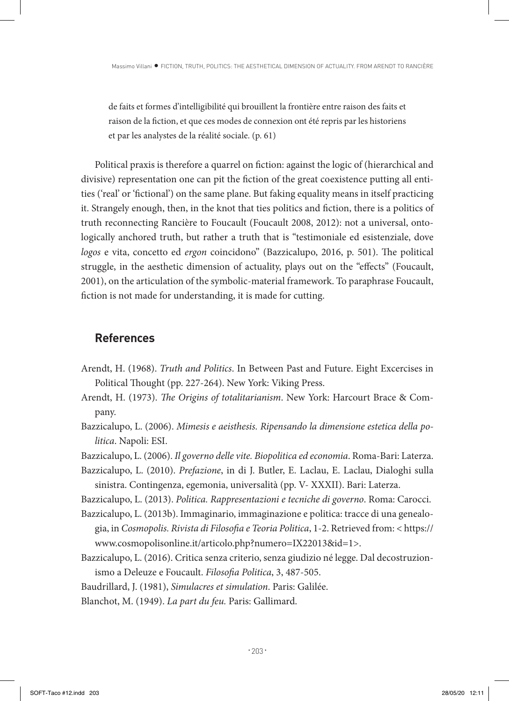de faits et formes d'intelligibilité qui brouillent la frontière entre raison des faits et raison de la fiction, et que ces modes de connexion ont été repris par les historiens et par les analystes de la réalité sociale. (p. 61)

Political praxis is therefore a quarrel on fiction: against the logic of (hierarchical and divisive) representation one can pit the fiction of the great coexistence putting all entities ('real' or 'fictional') on the same plane. But faking equality means in itself practicing it. Strangely enough, then, in the knot that ties politics and fiction, there is a politics of truth reconnecting Rancière to Foucault (Foucault 2008, 2012): not a universal, ontologically anchored truth, but rather a truth that is "testimoniale ed esistenziale, dove *logos* e vita, concetto ed *ergon* coincidono" (Bazzicalupo, 2016, p. 501). The political struggle, in the aesthetic dimension of actuality, plays out on the "effects" (Foucault, 2001), on the articulation of the symbolic-material framework. To paraphrase Foucault, fiction is not made for understanding, it is made for cutting.

# **References**

- Arendt, H. (1968). *Truth and Politics*. In Between Past and Future. Eight Excercises in Political Thought (pp. 227-264). New York: Viking Press.
- Arendt, H. (1973). *The Origins of totalitarianism*. New York: Harcourt Brace & Company.
- Bazzicalupo, L. (2006). *Mimesis e aeisthesis. Ripensando la dimensione estetica della politica*. Napoli: ESI.
- Bazzicalupo, L. (2006). *Il governo delle vite. Biopolitica ed economia*. Roma-Bari: Laterza.
- Bazzicalupo, L. (2010). *Prefazione*, in di J. Butler, E. Laclau, E. Laclau, Dialoghi sulla sinistra. Contingenza, egemonia, universalità (pp. V- XXXII). Bari: Laterza.
- Bazzicalupo, L. (2013). *Politica. Rappresentazioni e tecniche di governo*. Roma: Carocci.
- Bazzicalupo, L. (2013b). Immaginario, immaginazione e politica: tracce di una genealogia, in *Cosmopolis. Rivista di Filosofia e Teoria Politica*, 1-2. Retrieved from: < https:// www.cosmopolisonline.it/articolo.php?numero=IX22013&id=1>.
- Bazzicalupo, L. (2016). Critica senza criterio, senza giudizio né legge. Dal decostruzionismo a Deleuze e Foucault. *Filosofia Politica*, 3, 487-505.

Baudrillard, J. (1981), *Simulacres et simulation*. Paris: Galilée.

Blanchot, M. (1949). *La part du feu.* Paris: Gallimard.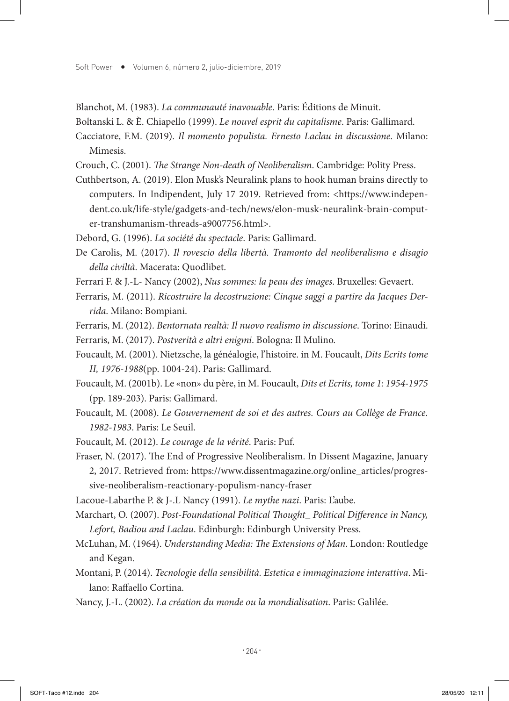Blanchot, M. (1983). *La communauté inavouable*. Paris: Éditions de Minuit.

- Boltanski L. & È. Chiapello (1999). *Le nouvel esprit du capitalisme*. Paris: Gallimard.
- Cacciatore, F.M. (2019). *Il momento populista. Ernesto Laclau in discussione*. Milano: Mimesis.
- Crouch, C. (2001). *The Strange Non-death of Neoliberalism*. Cambridge: Polity Press.
- Cuthbertson, A. (2019). Elon Musk's Neuralink plans to hook human brains directly to computers. In Indipendent, July 17 2019. Retrieved from: <https://www.independent.co.uk/life-style/gadgets-and-tech/news/elon-musk-neuralink-brain-computer-transhumanism-threads-a9007756.html>.
- Debord, G. (1996). *La société du spectacle*. Paris: Gallimard.
- De Carolis, M. (2017). *Il rovescio della libertà. Tramonto del neoliberalismo e disagio della civiltà*. Macerata: Quodlibet.
- Ferrari F. & J.-L- Nancy (2002), *Nus sommes: la peau des images*. Bruxelles: Gevaert.
- Ferraris, M. (2011). *Ricostruire la decostruzione: Cinque saggi a partire da Jacques Derrida*. Milano: Bompiani.
- Ferraris, M. (2012). *Bentornata realtà: Il nuovo realismo in discussione*. Torino: Einaudi.
- Ferraris, M. (2017). *Postverità e altri enigmi*. Bologna: Il Mulino.
- Foucault, M. (2001). Nietzsche, la généalogie, l'histoire. in M. Foucault, *Dits Ecrits tome II, 1976-1988*(pp. 1004-24). Paris: Gallimard.
- Foucault, M. (2001b). Le «non» du père, in M. Foucault, *Dits et Ecrits, tome 1: 1954-1975*  (pp. 189-203). Paris: Gallimard.
- Foucault, M. (2008). *Le Gouvernement de soi et des autres. Cours au Collège de France. 1982-1983*. Paris: Le Seuil.
- Foucault, M. (2012). *Le courage de la vérité*. Paris: Puf.
- Fraser, N. (2017). The End of Progressive Neoliberalism. In Dissent Magazine, January 2, 2017. Retrieved from: https://www.dissentmagazine.org/online\_articles/progressive-neoliberalism-reactionary-populism-nancy-fraser
- Lacoue-Labarthe P. & J-.L Nancy (1991). *Le mythe nazi*. Paris: L'aube.
- Marchart, O. (2007). *Post-Foundational Political Thought\_ Political Difference in Nancy, Lefort, Badiou and Laclau*. Edinburgh: Edinburgh University Press.
- McLuhan, M. (1964). *Understanding Media: The Extensions of Man*. London: Routledge and Kegan.
- Montani, P. (2014). *Tecnologie della sensibilità. Estetica e immaginazione interattiva*. Milano: Raffaello Cortina.
- Nancy, J.-L. (2002). *La création du monde ou la mondialisation*. Paris: Galilée.